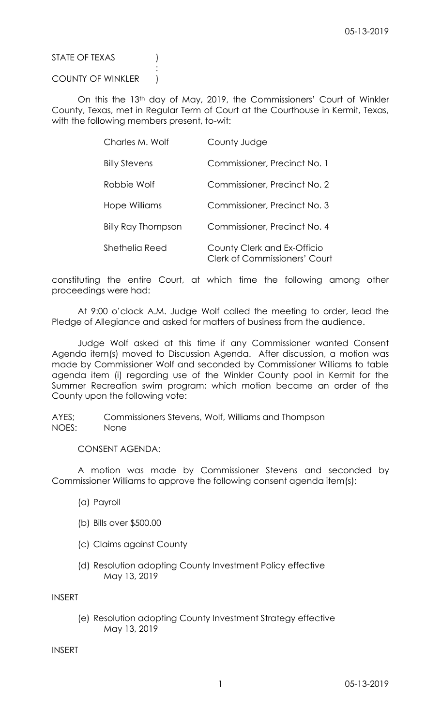STATE OF TEXAS (1)

## COUNTY OF WINKLER )

:

On this the 13th day of May, 2019, the Commissioners' Court of Winkler County, Texas, met in Regular Term of Court at the Courthouse in Kermit, Texas, with the following members present, to-wit:

| Charles M. Wolf      | County Judge                                                        |
|----------------------|---------------------------------------------------------------------|
| <b>Billy Stevens</b> | Commissioner, Precinct No. 1                                        |
| Robbie Wolf          | Commissioner, Precinct No. 2                                        |
| Hope Williams        | Commissioner, Precinct No. 3                                        |
| Billy Ray Thompson   | Commissioner, Precinct No. 4                                        |
| Shethelia Reed       | County Clerk and Ex-Officio<br><b>Clerk of Commissioners' Court</b> |

constituting the entire Court, at which time the following among other proceedings were had:

At 9:00 o'clock A.M. Judge Wolf called the meeting to order, lead the Pledge of Allegiance and asked for matters of business from the audience.

Judge Wolf asked at this time if any Commissioner wanted Consent Agenda item(s) moved to Discussion Agenda. After discussion, a motion was made by Commissioner Wolf and seconded by Commissioner Williams to table agenda item (i) regarding use of the Winkler County pool in Kermit for the Summer Recreation swim program; which motion became an order of the County upon the following vote:

AYES; Commissioners Stevens, Wolf, Williams and Thompson NOES: None

# CONSENT AGENDA:

A motion was made by Commissioner Stevens and seconded by Commissioner Williams to approve the following consent agenda item(s):

- (a) Payroll
- (b) Bills over \$500.00
- (c) Claims against County
- (d) Resolution adopting County Investment Policy effective May 13, 2019

INSERT

(e) Resolution adopting County Investment Strategy effective May 13, 2019

INSERT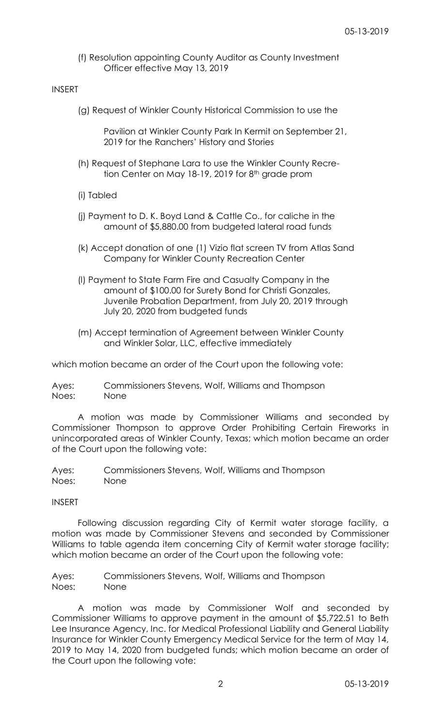(f) Resolution appointing County Auditor as County Investment Officer effective May 13, 2019

## INSERT

(g) Request of Winkler County Historical Commission to use the

Pavilion at Winkler County Park In Kermit on September 21, 2019 for the Ranchers' History and Stories

- (h) Request of Stephane Lara to use the Winkler County Recretion Center on May 18-19, 2019 for 8<sup>th</sup> grade prom
- (i) Tabled
- (j) Payment to D. K. Boyd Land & Cattle Co., for caliche in the amount of \$5,880.00 from budgeted lateral road funds
- (k) Accept donation of one (1) Vizio flat screen TV from Atlas Sand Company for Winkler County Recreation Center
- (l) Payment to State Farm Fire and Casualty Company in the amount of \$100.00 for Surety Bond for Christi Gonzales, Juvenile Probation Department, from July 20, 2019 through July 20, 2020 from budgeted funds
- (m) Accept termination of Agreement between Winkler County and Winkler Solar, LLC, effective immediately

which motion became an order of the Court upon the following vote:

Ayes: Commissioners Stevens, Wolf, Williams and Thompson Noes: None

A motion was made by Commissioner Williams and seconded by Commissioner Thompson to approve Order Prohibiting Certain Fireworks in unincorporated areas of Winkler County, Texas; which motion became an order of the Court upon the following vote:

Ayes: Commissioners Stevens, Wolf, Williams and Thompson Noes: None

## INSERT

Following discussion regarding City of Kermit water storage facility, a motion was made by Commissioner Stevens and seconded by Commissioner Williams to table agenda item concerning City of Kermit water storage facility; which motion became an order of the Court upon the following vote:

Ayes: Commissioners Stevens, Wolf, Williams and Thompson Noes: None

A motion was made by Commissioner Wolf and seconded by Commissioner Williams to approve payment in the amount of \$5,722.51 to Beth Lee Insurance Agency, Inc. for Medical Professional Liability and General Liability Insurance for Winkler County Emergency Medical Service for the term of May 14, 2019 to May 14, 2020 from budgeted funds; which motion became an order of the Court upon the following vote: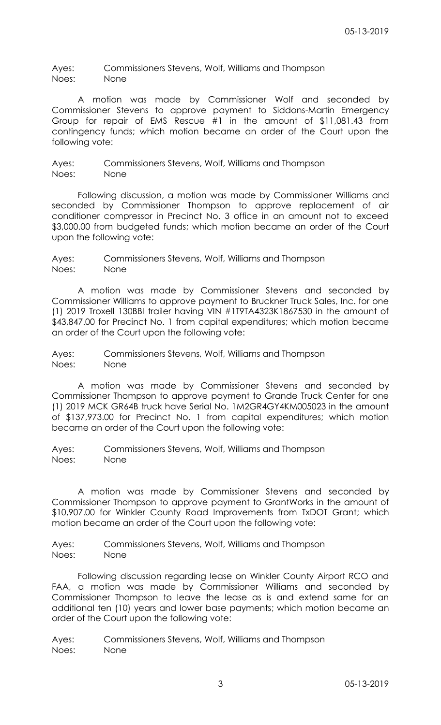Ayes: Commissioners Stevens, Wolf, Williams and Thompson Noes: None

A motion was made by Commissioner Wolf and seconded by Commissioner Stevens to approve payment to Siddons-Martin Emergency Group for repair of EMS Rescue #1 in the amount of \$11,081.43 from contingency funds; which motion became an order of the Court upon the following vote:

Ayes: Commissioners Stevens, Wolf, Williams and Thompson Noes: None

Following discussion, a motion was made by Commissioner Williams and seconded by Commissioner Thompson to approve replacement of air conditioner compressor in Precinct No. 3 office in an amount not to exceed \$3,000.00 from budgeted funds; which motion became an order of the Court upon the following vote:

Ayes: Commissioners Stevens, Wolf, Williams and Thompson Noes: None

A motion was made by Commissioner Stevens and seconded by Commissioner Williams to approve payment to Bruckner Truck Sales, Inc. for one (1) 2019 Troxell 130BBI trailer having VIN #1T9TA4323K1867530 in the amount of \$43,847.00 for Precinct No. 1 from capital expenditures; which motion became an order of the Court upon the following vote:

Ayes: Commissioners Stevens, Wolf, Williams and Thompson Noes: None

A motion was made by Commissioner Stevens and seconded by Commissioner Thompson to approve payment to Grande Truck Center for one (1) 2019 MCK GR64B truck have Serial No. 1M2GR4GY4KM005023 in the amount of \$137,973.00 for Precinct No. 1 from capital expenditures; which motion became an order of the Court upon the following vote:

Ayes: Commissioners Stevens, Wolf, Williams and Thompson Noes: None

A motion was made by Commissioner Stevens and seconded by Commissioner Thompson to approve payment to GrantWorks in the amount of \$10,907.00 for Winkler County Road Improvements from TxDOT Grant; which motion became an order of the Court upon the following vote:

Ayes: Commissioners Stevens, Wolf, Williams and Thompson Noes: None

Following discussion regarding lease on Winkler County Airport RCO and FAA, a motion was made by Commissioner Williams and seconded by Commissioner Thompson to leave the lease as is and extend same for an additional ten (10) years and lower base payments; which motion became an order of the Court upon the following vote:

Ayes: Commissioners Stevens, Wolf, Williams and Thompson Noes: None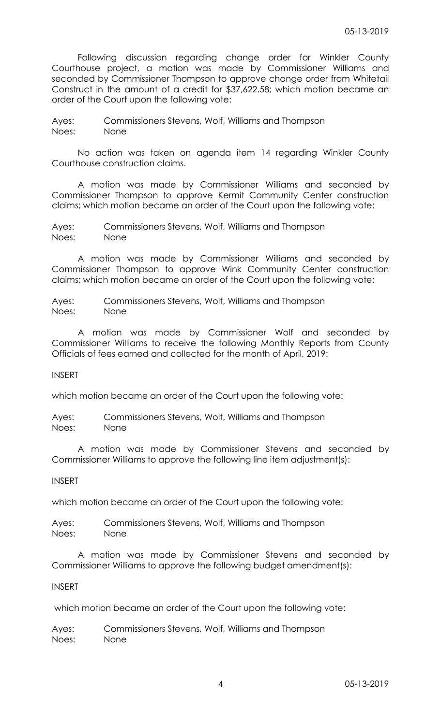Following discussion regarding change order for Winkler County Courthouse project, a motion was made by Commissioner Williams and seconded by Commissioner Thompson to approve change order from Whitetail Construct in the amount of a credit for \$37,622.58; which motion became an order of the Court upon the following vote:

Ayes: Commissioners Stevens, Wolf, Williams and Thompson Noes: None

No action was taken on agenda item 14 regarding Winkler County Courthouse construction claims.

A motion was made by Commissioner Williams and seconded by Commissioner Thompson to approve Kermit Community Center construction claims; which motion became an order of the Court upon the following vote:

Ayes: Commissioners Stevens, Wolf, Williams and Thompson Noes: None

A motion was made by Commissioner Williams and seconded by Commissioner Thompson to approve Wink Community Center construction claims; which motion became an order of the Court upon the following vote:

Ayes: Commissioners Stevens, Wolf, Williams and Thompson Noes: None

A motion was made by Commissioner Wolf and seconded by Commissioner Williams to receive the following Monthly Reports from County Officials of fees earned and collected for the month of April, 2019:

INSERT

which motion became an order of the Court upon the following vote:

Ayes: Commissioners Stevens, Wolf, Williams and Thompson Noes: None

A motion was made by Commissioner Stevens and seconded by Commissioner Williams to approve the following line item adjustment(s):

INSERT

which motion became an order of the Court upon the following vote:

Ayes: Commissioners Stevens, Wolf, Williams and Thompson Noes: None

A motion was made by Commissioner Stevens and seconded by Commissioner Williams to approve the following budget amendment(s):

# INSERT

which motion became an order of the Court upon the following vote:

Ayes: Commissioners Stevens, Wolf, Williams and Thompson Noes: None